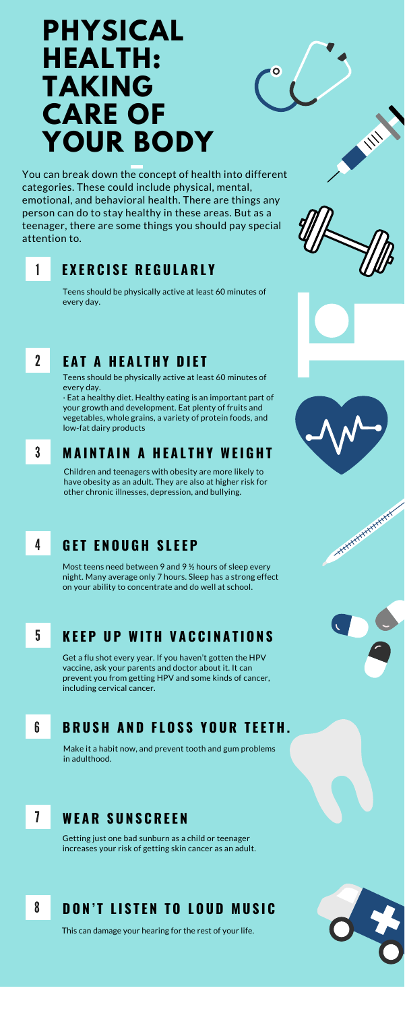# **PHYSICAL HEALTH: TAKING CARE OF YOUR BODY**

You can break down the concept of health into different categories. These could include physical, mental, emotional, and behavioral health. There are things any person can do to stay healthy in these areas. But as a teenager, there are some things you should pay special attention to.

### 1 **E X E R C I S E R E G U L A R L Y**

Teens should be physically active at least 60 minutes of every day.

## 2 **E A T A H E A L T H Y D I E T**

Teens should be physically active at least 60 minutes of every day.

· Eat a healthy diet. Healthy eating is an important part of your growth and development. Eat plenty of fruits and vegetables, whole grains, a variety of protein foods, and low-fat dairy products

### 3 **M A I N T A I N A H E A L T H Y WE I G H T**

Children and teenagers with obesity are more likely to have obesity as an adult. They are also at higher risk for other chronic illnesses, depression, and bullying.

### 4 **G E T E N O U G H S L E E P**

Most teens need between 9 and 9 ½ hours of sleep every night. Many average only 7 hours. Sleep has a strong effect on your ability to concentrate and do well at school.



No. of the





### 5 **K E E P U P WI T H V A C C I N A T I O N S**

Get a flu shot every year. If you haven't gotten the HPV vaccine, ask your parents and doctor about it. It can prevent you from getting HPV and some kinds of cancer, including cervical cancer.

Make it a habit now, and prevent tooth and gum problems in adulthood.

#### **B R U S H A N D F L O S S Y O U R T E E T H .** 6

Getting just one bad sunburn as a child or teenager increases your risk of getting skin cancer as an adult.

#### **WE A R S U N S C R E E N** 7

#### **D O N ' T L I S T E N T O L O U D M U S I C** 8

This can damage your hearing for the rest of your life.

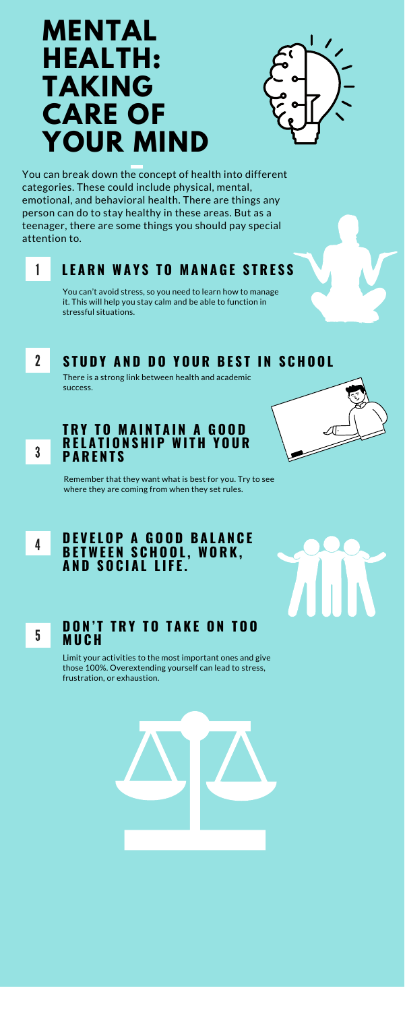# **MENTAL HEALTH: TAKING CARE OF YOUR MIND**



You can break down the concept of health into different categories. These could include physical, mental, emotional, and behavioral health. There are things any person can do to stay healthy in these areas. But as a teenager, there are some things you should pay special attention to.

### 1 **L E A R N WA Y S T O M A N A G E S T R E S S**

You can't avoid stress, so you need to learn how to manage it. This will help you stay calm and be able to function in stressful situations.

### 2 STUDY AND DO YOUR BEST IN SCHOOL

There is a strong link between health and academic success.



### **T R Y T O M A I N T A I N A G O O D R E L A T I O N S H I P WI T H Y O U R P A R E N T S**

Remember that they want what is best for you. Try to see where they are coming from when they set rules.







### **D O N ' T T R Y T O T A K E O N T O O M U C H**

Limit your activities to the most important ones and give those 100%. Overextending yourself can lead to stress, frustration, or exhaustion.

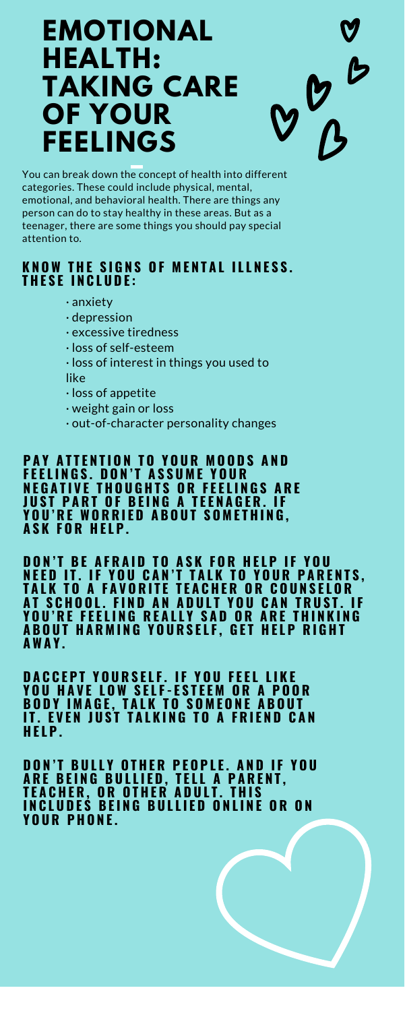# **EMOTIONAL HEALTH: TAKING CARE OF YOUR FEELINGS**

 $D^{\nu}$ 

You can break down the concept of health into different categories. These could include physical, mental, emotional, and behavioral health. There are things any person can do to stay healthy in these areas. But as a teenager, there are some things you should pay special attention to.

**PAY ATTENTION TO YOUR MOODS AND F E E L I N G S . D O N ' T A S S U M E Y O U R NEGATIVE THOUGHTS OR FEELINGS ARE JUST PART OF BEING A TEENAGER. IF** YOU'RE WORRIED ABOUT SOMETHING, **A S K F O R H E L P .**

- · anxiety
- · depression
- · excessive tiredness
- · loss of self-esteem
- · loss of interest in things you used to like
- · loss of appetite
- · weight gain or loss
- · out-of-character personality changes

**DON'T BE AFRAID TO ASK FOR HELP IF YOU** NEED IT. IF YOU CAN'T TALK TO YOUR PARENTS, TALK TO A FAVORITE TEACHER OR COUNSELOR AT SCHOOL. FIND AN ADULT YOU CAN TRUST. IF YOU'RE FEELING REALLY SAD OR ARE THINKING **ABOUT HARMING YOURSELF, GET HELP RIGHT AWA Y .**

### KNOW THE SIGNS OF MENTAL ILLNESS. **T H E S E I N C L U D E :**

**DACCEPT YOURSELF. IF YOU FEEL LIKE** YOU HAVE LOW SELF-ESTEEM OR A POOR **BODY IMAGE, TALK TO SOMEONE ABOUT** IT. EVEN JUST TALKING TO A FRIEND CAN **H E L P .**

**DON'T BULLY OTHER PEOPLE. AND IF YOU** ARE BEING BULLIED, TELL A PARENT, **T E A C H E R , O R O T H E R A D U L T . T H I S** INCLUDEŚ BEING BULLIED ONLINE OR ON **Y O U R P H O N E .**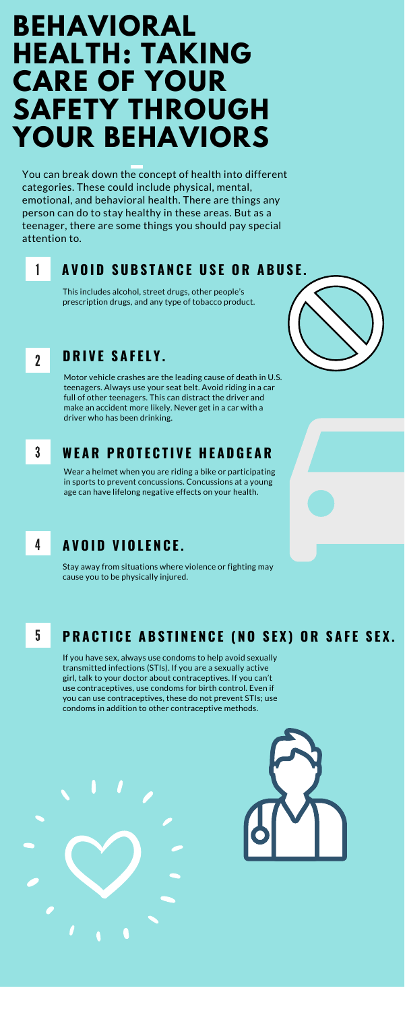# **BEHAVIORAL HEALTH: TAKING CARE OF YOUR SAFETY THROUGH YOUR BEHAVIORS**

You can break down the concept of health into different categories. These could include physical, mental, emotional, and behavioral health. There are things any person can do to stay healthy in these areas. But as a teenager, there are some things you should pay special attention to.

### 1 AVOID SUBSTANCE USE OR ABUSE.

This includes alcohol, street drugs, other people's prescription drugs, and any type of tobacco product.

### 2 **D R I V E S A F E L Y .**

Motor vehicle crashes are the leading cause of death in U.S. teenagers. Always use your seat belt. Avoid riding in a car full of other teenagers. This can distract the driver and make an accident more likely. Never get in a car with a driver who has been drinking.

### 3 **WE A R P R O T E C T I V E H E A D G E A R**

Wear a helmet when you are riding a bike or participating in sports to prevent concussions. Concussions at a young age can have lifelong negative effects on your health.

### 4 **A V O I D V I O L E N C E .**

Stay away from situations where violence or fighting may cause you to be physically injured.



### 5 PRACTICE ABSTINENCE (NO SEX) OR SAFE SEX.

If you have sex, always use condoms to help avoid sexually transmitted infections (STIs). If you are a sexually active girl, talk to your doctor about contraceptives. If you can't use contraceptives, use condoms for birth control. Even if you can use contraceptives, these do not prevent STIs; use condoms in addition to other contraceptive methods.